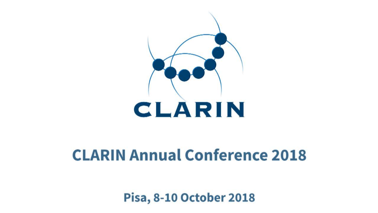

# **CLARIN Annual Conference 2018**

**Pisa, 8-10 October 2018** 

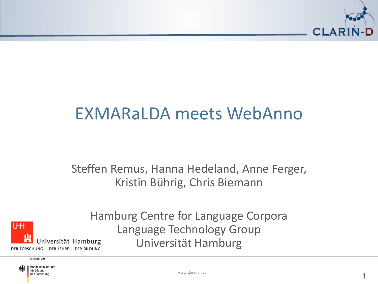

#### EXMARaLDA meets WebAnno

Steffen Remus, Hanna Hedeland, Anne Ferger, Kristin Bührig, Chris Biemann



Hamburg Centre for Language Corpora Language Technology Group Universität Hamburg

GEFÖRDERT VOM

Bundesministerium für Bildung und Forschung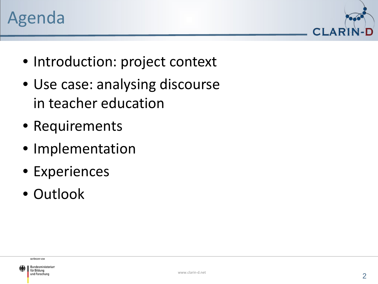



- Introduction: project context
- Use case: analysing discourse in teacher education
- Requirements
- Implementation
- Experiences
- Outlook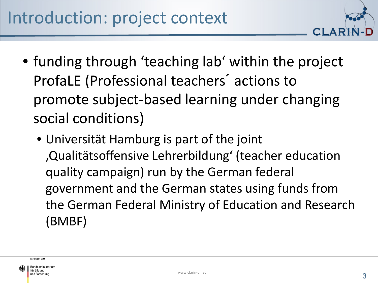

- funding through 'teaching lab' within the project ProfaLE (Professional teachers´ actions to promote subject-based learning under changing social conditions)
	- Universität Hamburg is part of the joint 'Qualitätsoffensive Lehrerbildung' (teacher education quality campaign) run by the German federal government and the German states using funds from the German Federal Ministry of Education and Research (BMBF)

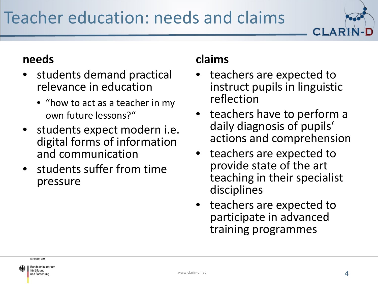# Teacher education: needs and claims



#### **needs**

- students demand practical relevance in education
	- "how to act as a teacher in my own future lessons?"
- students expect modern i.e. digital forms of information and communication
- students suffer from time pressure

#### **claims**

- teachers are expected to instruct pupils in linguistic reflection
- teachers have to perform a daily diagnosis of pupils' actions and comprehension
- teachers are expected to provide state of the art teaching in their specialist disciplines
- teachers are expected to participate in advanced training programmes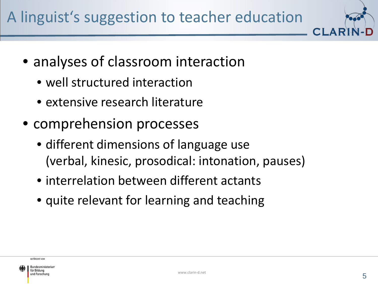

- analyses of classroom interaction
	- well structured interaction
	- extensive research literature
- comprehension processes
	- different dimensions of language use (verbal, kinesic, prosodical: intonation, pauses)
	- interrelation between different actants
	- quite relevant for learning and teaching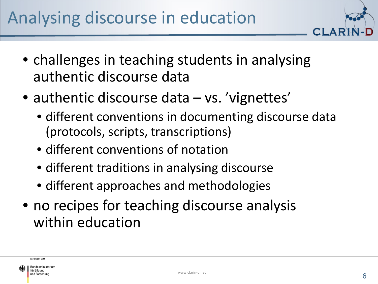

- challenges in teaching students in analysing authentic discourse data
- authentic discourse data vs. 'vignettes'
	- different conventions in documenting discourse data (protocols, scripts, transcriptions)
	- different conventions of notation
	- different traditions in analysing discourse
	- different approaches and methodologies
- no recipes for teaching discourse analysis within education

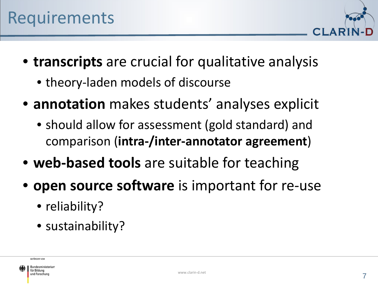

- **transcripts** are crucial for qualitative analysis
	- theory-laden models of discourse
- **annotation** makes students' analyses explicit
	- should allow for assessment (gold standard) and comparison (**intra-/inter-annotator agreement**)
- **web-based tools** are suitable for teaching
- **open source software** is important for re-use
	- reliability?
	- sustainability?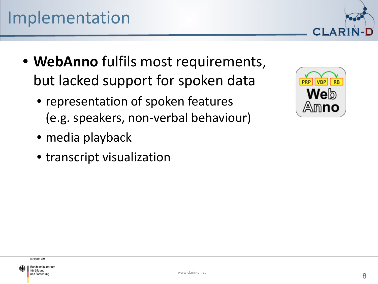- **WebAnno** fulfils most requirements, but lacked support for spoken data
	- representation of spoken features (e.g. speakers, non-verbal behaviour)
	- media playback
	- transcript visualization



CI AR

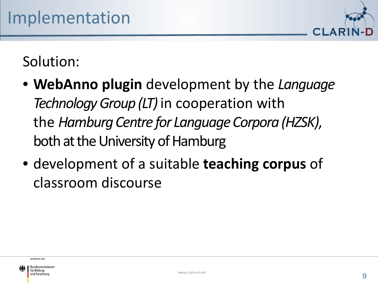

#### Solution:

- **WebAnno plugin** development by the *Language Technology Group (LT)* in cooperation with the *Hamburg Centre for Language Corpora (HZSK)*, both at the University of Hamburg
- development of a suitable **teaching corpus** of classroom discourse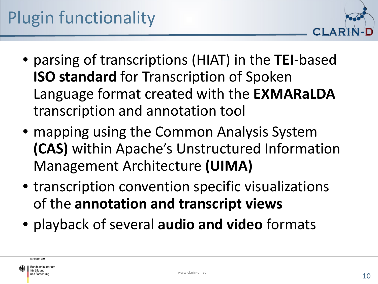

- parsing of transcriptions (HIAT) in the **TEI**-based **ISO standard** for Transcription of Spoken Language format created with the **EXMARaLDA** transcription and annotation tool
- mapping using the Common Analysis System **(CAS)** within Apache's Unstructured Information Management Architecture **(UIMA)**
- transcription convention specific visualizations of the **annotation and transcript views**
- playback of several **audio and video** formats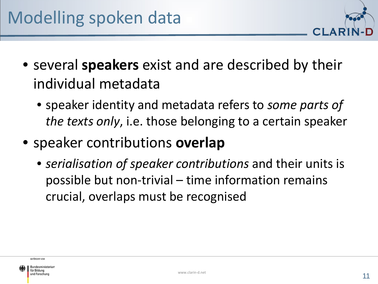

- several **speakers** exist and are described by their individual metadata
	- speaker identity and metadata refers to *some parts of the texts only*, i.e. those belonging to a certain speaker
- speaker contributions **overlap**
	- *serialisation of speaker contributions* and their units is possible but non-trivial – time information remains crucial, overlaps must be recognised

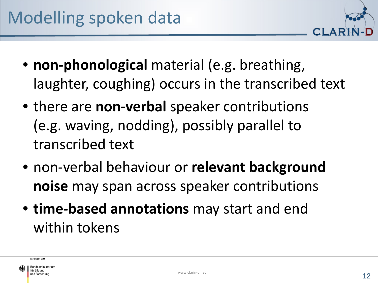- 
- **non-phonological** material (e.g. breathing, laughter, coughing) occurs in the transcribed text
- there are **non-verbal** speaker contributions (e.g. waving, nodding), possibly parallel to transcribed text
- non-verbal behaviour or **relevant background noise** may span across speaker contributions
- **time-based annotations** may start and end within tokens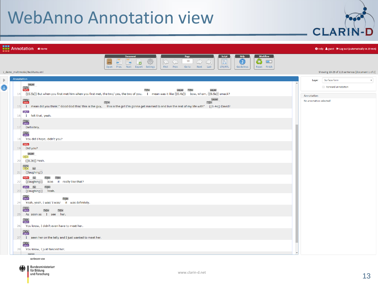

|              |            |                                                  | <b>FEE</b> Annotation <b>*</b> Home                                                                                                            |                                                                                           |                                                       |                                                                                |                                                                                       |                         | <b>Ø</b> Help <i>S</i> guest <sup>(→</sup> Log out (automatically in 29 min) |
|--------------|------------|--------------------------------------------------|------------------------------------------------------------------------------------------------------------------------------------------------|-------------------------------------------------------------------------------------------|-------------------------------------------------------|--------------------------------------------------------------------------------|---------------------------------------------------------------------------------------|-------------------------|------------------------------------------------------------------------------|
|              |            |                                                  |                                                                                                                                                | <b>Document</b><br>53<br>$\Rightarrow$<br>Lø<br>包<br>e<br>Open Prev. Next Export Settings | Page<br>$10\,$<br>$\mathbb{R}$<br>First Prev.<br>Goto | Script<br>$\Rightarrow$<br>$\bigcirc$<br>$\boxed{\Xi}$<br>LTR/RTL<br>Next Last | <b>Help</b><br><b>Workflow</b><br>$\bigcirc$<br>2)<br>么<br>Guidelines<br>Reset Finish |                         |                                                                              |
|              |            | 1_demo_multimodal/Beckhams.xml                   |                                                                                                                                                |                                                                                           |                                                       |                                                                                |                                                                                       |                         | Showing 10-29 of 113 sentences [document 1 of 2]                             |
| $\mathbb{D}$ | Annotation |                                                  |                                                                                                                                                |                                                                                           |                                                       |                                                                                |                                                                                       | Layer                   | Surface form<br>$\boldsymbol{\mathrm{v}}$                                    |
| G            |            | pause<br>$T27$<br>PARE                           |                                                                                                                                                |                                                                                           | pause<br>$T29-$                                       | pause                                                                          |                                                                                       |                         | Forward annotation                                                           |
|              |            |                                                  | 14 ((0.5s)) But when you first met him when you first met, the two/yes, the two of you, I mean was it like ((0.4s)) bow, wham, ((0.5s)) smack? |                                                                                           |                                                       |                                                                                |                                                                                       | Annotation              |                                                                              |
|              |            | $T30 + PAR +$                                    |                                                                                                                                                | T31                                                                                       |                                                       | pause<br>T32                                                                   |                                                                                       | No annotation selected! |                                                                              |
|              |            | DAV <sup>*</sup>                                 | 16 I felt that, yeah.                                                                                                                          |                                                                                           |                                                       |                                                                                |                                                                                       |                         |                                                                              |
|              |            | $T34$<br>DAV<br>17 Definitely.                   |                                                                                                                                                |                                                                                           |                                                       |                                                                                |                                                                                       |                         |                                                                              |
|              |            | $\frac{T35}{DAV}$                                | 18 You did I hope, didn't you?                                                                                                                 |                                                                                           |                                                       |                                                                                |                                                                                       |                         |                                                                              |
|              |            | PAR <sup>*</sup><br>$19$ Did you?                |                                                                                                                                                |                                                                                           |                                                       |                                                                                |                                                                                       |                         |                                                                              |
|              |            | pause<br>MCF<br>20 ((0.3s)) Yeah.                |                                                                                                                                                |                                                                                           |                                                       |                                                                                |                                                                                       |                         |                                                                              |
|              |            | $\frac{1}{2}$<br>n <b>v</b><br>$21$ ((laughing)) |                                                                                                                                                |                                                                                           |                                                       |                                                                                |                                                                                       |                         |                                                                              |
|              | 22         | PAR <sup>*</sup>                                 | T38> T39><br>((laughing)) Was it really like that?                                                                                             |                                                                                           |                                                       |                                                                                |                                                                                       |                         |                                                                              |
|              | 23         | DAV+ nv                                          | T381<br>((laughing)) Yeah.                                                                                                                     |                                                                                           |                                                       |                                                                                |                                                                                       |                         |                                                                              |
|              | 24         | T39                                              | $T40-$<br>Yeah, yeah, I was/ I was/ it was definitely.                                                                                         |                                                                                           |                                                       |                                                                                |                                                                                       |                         |                                                                              |
|              | 25         | $T^{41}$                                         | T42<br>T43H<br>As soon as I see her.                                                                                                           |                                                                                           |                                                       |                                                                                |                                                                                       |                         |                                                                              |
|              | 26         | $T^{44}$                                         | You know, I didn't even have to meet her.                                                                                                      |                                                                                           |                                                       |                                                                                |                                                                                       |                         |                                                                              |
|              |            | $T45$<br>DAV                                     | 27 I seen her on the telly and I just wanted to meet her.                                                                                      |                                                                                           |                                                       |                                                                                |                                                                                       |                         |                                                                              |
|              |            | $\frac{T46}{DAV}$                                |                                                                                                                                                |                                                                                           |                                                       |                                                                                |                                                                                       |                         |                                                                              |
|              | 28         | $\overline{\phantom{a}}$                         | You know, I just fancied her.<br>GEFÖRDERT VOM                                                                                                 |                                                                                           |                                                       |                                                                                |                                                                                       |                         |                                                                              |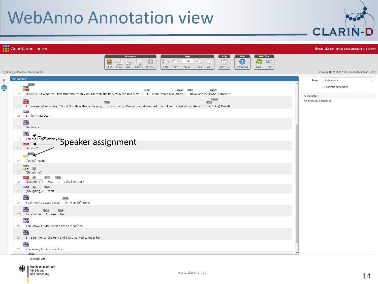

|   |            | <b>FREE</b> Annotation                                                                                                                                                                                                                                                                                |                         | O Help & guest ( Log out (automatically in 29 min) |
|---|------------|-------------------------------------------------------------------------------------------------------------------------------------------------------------------------------------------------------------------------------------------------------------------------------------------------------|-------------------------|----------------------------------------------------|
|   |            | Script<br><b>Help</b><br><b>Workflow</b><br><b>Documen</b><br>Page<br>$\bigcirc$<br>503<br>$10\,$<br>é.<br>B<br>么<br>$\bigcirc$<br>$\Rightarrow$<br>KĽ<br>42<br>$\Box$<br>停<br>اصا<br>First Prev.<br>LTR/RTL<br>Open<br>Prev. Next Export Settings<br>Goto<br>Next Last<br>Guidelines<br>Reset Finish |                         |                                                    |
|   |            | 1_demo_multimodal/Beckhams.xml                                                                                                                                                                                                                                                                        |                         | Showing 10-29 of 113 sentences [document 1 of 2]   |
| D | Annotation | pause<br>$T27$<br>PAR<br>$T29-$<br>pause<br>pause                                                                                                                                                                                                                                                     | Layer                   | Surface form<br>Forward annotation                 |
|   | 14         | ((0.5s)) But when you first met him when you first met, the two/yes, the two of you, I mean was it like ((0.4s)) bow, wham, ((0.5s)) smack?                                                                                                                                                           | Annotation              |                                                    |
|   |            | pause<br>$T30 + PAR + P$<br>$T32+$<br>T31<br>15 T mean did you think:" Good God this/ this is the guy, this is the girl I'm gonna get married to and live the rest of my life with" ((0.4s)) David?                                                                                                   | No annotation selected! |                                                    |
|   | 16         | DAV <sup>*</sup><br>I felt that, yeah.                                                                                                                                                                                                                                                                |                         |                                                    |
|   | 17         | T34<br>Definitely.                                                                                                                                                                                                                                                                                    |                         |                                                    |
|   | 18         | $\frac{T35}{DAV}$                                                                                                                                                                                                                                                                                     |                         |                                                    |
|   | 19         | <b>Example 2016 Thepe, Tritt-</b> Your Speaker assignment<br>PAR <sup>*</sup><br>Did you?                                                                                                                                                                                                             |                         |                                                    |
|   | 20         | ((0.3s)) Yeah.                                                                                                                                                                                                                                                                                        |                         |                                                    |
|   | 21         | $\frac{137}{10}$<br>n <sub>v</sub><br>((laughing))                                                                                                                                                                                                                                                    |                         |                                                    |
|   | 22         | PAR <sup>*</sup><br>$T38-$<br>T39><br>nv<br>Was it really like that?<br>((laughing))                                                                                                                                                                                                                  |                         |                                                    |
|   | 23         | DAV+ nv<br>T38<br>((laughing)) Yeah.                                                                                                                                                                                                                                                                  |                         |                                                    |
|   | 24         | $\frac{1139}{DAV}$<br>$T40+$<br>Yeah, yeah, I was/ I was/ it was definitely.                                                                                                                                                                                                                          |                         |                                                    |
|   | 25         | T41<br>T42<br>T43<br>As soon as I see her.                                                                                                                                                                                                                                                            |                         |                                                    |
|   | 26         | T44<br>You know, I didn't even have to meet her.                                                                                                                                                                                                                                                      |                         |                                                    |
|   | 27         | $T45$<br>DAV<br>I seen her on the telly and I just wanted to meet her.                                                                                                                                                                                                                                |                         |                                                    |
|   | 28         | $T46$<br>DAV<br>You know, I just fancied her.                                                                                                                                                                                                                                                         |                         |                                                    |
|   |            | mound<br>GEFÖRDERT VOM                                                                                                                                                                                                                                                                                |                         |                                                    |

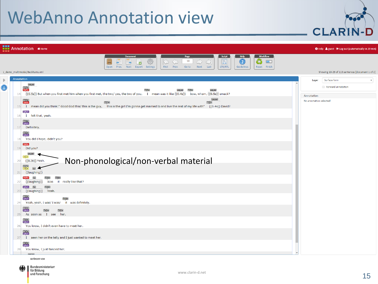

|   |            | <b>FREE</b> Annotation <b>*</b> Home |                                                                                                                                             |                    |                                                                   |                                     |                                                |                                                      |                                  |                                      |                         | <b>Ø</b> Help <i>S</i> guest <sup>(→</sup> Log out (automatically in 29 min) |
|---|------------|--------------------------------------|---------------------------------------------------------------------------------------------------------------------------------------------|--------------------|-------------------------------------------------------------------|-------------------------------------|------------------------------------------------|------------------------------------------------------|----------------------------------|--------------------------------------|-------------------------|------------------------------------------------------------------------------|
|   |            |                                      |                                                                                                                                             |                    | <b>Document</b><br>$\Rightarrow$<br>اصا<br>Open Prev. Next Export | 63<br>$\mathbb{R}$<br>回<br>Settings | Page<br>10 <sub>1</sub><br>First Prev.<br>Goto | Script<br>$\bigcirc$<br>目<br>LTR/RTL<br>Next<br>Last | Help<br>$\bigcirc$<br>Guidelines | <b>Workflow</b><br>Ø<br>Reset Finish |                         |                                                                              |
|   |            | 1 demo multimodal/Beckhams.xml       |                                                                                                                                             |                    |                                                                   |                                     |                                                |                                                      |                                  |                                      |                         | Showing 10-29 of 113 sentences [document 1 of 2]                             |
| D | Annotation | pause                                |                                                                                                                                             |                    |                                                                   |                                     |                                                |                                                      |                                  |                                      | Layer                   | Surface form<br>$\boldsymbol{\mathrm{v}}$<br>Forward annotation              |
|   | 14         | $T27$<br>PAR»                        | ((0.5s)) But when you first met him when you first met, the two/yes, the two of you, I mean was it like ((0.4s)) bow, wham, ((0.5s)) smack? |                    |                                                                   |                                     | T29<br>pause                                   | pause                                                |                                  |                                      | Annotation              |                                                                              |
|   |            | $T30 + PAR + P$                      |                                                                                                                                             |                    | $T31+$                                                            |                                     |                                                | pause<br>T32                                         |                                  |                                      | No annotation selected! |                                                                              |
|   | 16         | DAV <sup>*</sup>                     | I felt that, yeah.                                                                                                                          |                    |                                                                   |                                     |                                                |                                                      |                                  |                                      |                         |                                                                              |
|   | 17         | T34<br>Definitely.                   |                                                                                                                                             |                    |                                                                   |                                     |                                                |                                                      |                                  |                                      |                         |                                                                              |
|   | 18         | $T35$<br>DAV                         | You did I hope, didn't you?                                                                                                                 |                    |                                                                   |                                     |                                                |                                                      |                                  |                                      |                         |                                                                              |
|   | 19         | PAR <sup>&gt;</sup><br>Did you?      |                                                                                                                                             |                    |                                                                   |                                     |                                                |                                                      |                                  |                                      |                         |                                                                              |
|   | 20         | pause<br>((0.3s)) Yeah.              |                                                                                                                                             |                    | Non-phonological/non-verbal material                              |                                     |                                                |                                                      |                                  |                                      |                         |                                                                              |
|   | 21         | $\frac{1}{10}$<br>nv<br>((laughing)) |                                                                                                                                             |                    |                                                                   |                                     |                                                |                                                      |                                  |                                      |                         |                                                                              |
|   | 22         | PAR <sup>&gt;</sup><br>((laughing))  | $T38+$<br>T39><br>Was it really like that?                                                                                                  |                    |                                                                   |                                     |                                                |                                                      |                                  |                                      |                         |                                                                              |
|   | 23         | DAV <sup>*</sup><br> nv              | T38><br>((laughing)) Yeah.                                                                                                                  |                    |                                                                   |                                     |                                                |                                                      |                                  |                                      |                         |                                                                              |
|   | 24         | $T39 +$<br>DAV+                      | $T40+$<br>Yeah, yeah, I was/ I was/                                                                                                         | it was definitely. |                                                                   |                                     |                                                |                                                      |                                  |                                      |                         |                                                                              |
|   | 25         | $\frac{T41}{DAV}$                    | $T42+$<br>T43 <b>&gt;</b><br>As soon as I see her.                                                                                          |                    |                                                                   |                                     |                                                |                                                      |                                  |                                      |                         |                                                                              |
|   | 26         | $T^{44}$                             | You know, I didn't even have to meet her.                                                                                                   |                    |                                                                   |                                     |                                                |                                                      |                                  |                                      |                         |                                                                              |
|   | 27         | $T45$<br>DAV                         | I seen her on the telly and I just wanted to meet her.                                                                                      |                    |                                                                   |                                     |                                                |                                                      |                                  |                                      |                         |                                                                              |
|   | 28         | $T46$<br>DAV                         | You know, I just fancied her.                                                                                                               |                    |                                                                   |                                     |                                                |                                                      |                                  |                                      |                         |                                                                              |
|   |            | <b>General</b>                       | GEFÖRDERT VOM                                                                                                                               |                    |                                                                   |                                     |                                                |                                                      |                                  |                                      |                         |                                                                              |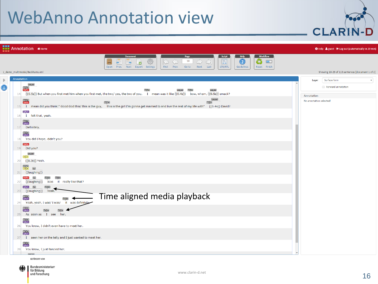

| <b>FREE</b> Annotation *Home                                                                                                                                                                                                                                               | <b>● Help ▲ guest ● Log out (automatically in 29 min)</b> |
|----------------------------------------------------------------------------------------------------------------------------------------------------------------------------------------------------------------------------------------------------------------------------|-----------------------------------------------------------|
| <b>Workflow</b><br>Script<br>Help<br>Page<br><b>Documen</b><br>$\bigcirc$<br>503<br>10<br>目<br>$\frac{1}{2}$<br>$\Rightarrow$<br>lK<br>$\Box$<br>包<br>e<br>Open Prev. Next Export Settings<br>First Prev.<br>LTR/RTL<br>Last<br>Guidelines<br>Goto<br>Next<br>Reset Finish |                                                           |
| 1_demo_multimodal/Beckhams.xml                                                                                                                                                                                                                                             | Showing 10-29 of 113 sentences [document 1 of 2]          |
| Annotation<br>pause<br>G<br>T <sub>27</sub><br>$T29-$<br>pause<br>T28<br>pause<br>((0.5s)) But when you first met him when you first met, the two/yes, the two of you, I mean was it like ((0.4s)) bow, wham, ((0.5s)) smack?<br>14                                        | Surface form<br>Layer<br>Forward annotation<br>Annotation |
| pause<br>$T30 + PAR + P$<br>$T32-$<br>T31<br>I mean did you think:" Good God this/ this is the guy, this is the girl I'm gonna get married to and live the rest of my life with" ((0.4s)) David?<br>15<br>DAV <sup></sup><br>I felt that, yeah.<br>16                      | No annotation selected!                                   |
| $\frac{T34}{DAV}$<br>Definitely.<br>17                                                                                                                                                                                                                                     |                                                           |
| T35+<br>DAV+<br>You did I hope, didn't you?<br>18<br>PAR <sup>*</sup><br>Did you?<br>19                                                                                                                                                                                    |                                                           |
| pause<br>VIC►  <br>((0.3s)) Yeah.<br>20                                                                                                                                                                                                                                    |                                                           |
| $\frac{1}{1}$<br>n <sub>v</sub><br>((laughing))<br>21                                                                                                                                                                                                                      |                                                           |
| <b>PAR</b> ▶<br>T39><br>T38<br>Was it really like that?<br>((laughing))<br>22                                                                                                                                                                                              |                                                           |
| DAV+ nv<br>T38><br>((laughing))<br>23<br>Yeah.<br>Time aligned media playback<br>T391<br>DAVI-<br>$T40+$<br>it was definitely<br>Yeah, yeah, I was/ I was/<br>24                                                                                                           |                                                           |
| $T41$<br>DAV<br>T42<br>$T43+$<br>As soon as I see her<br>25                                                                                                                                                                                                                |                                                           |
| $T^{44}$<br>You know, I didn't even have to meet her.<br>26                                                                                                                                                                                                                |                                                           |
| $T45F$<br>DAVE<br>I seen her on the telly and I just wanted to meet her.<br>27                                                                                                                                                                                             |                                                           |
| $\frac{T46}{DAV}$<br>You know, I just fancied her.<br>28                                                                                                                                                                                                                   |                                                           |
| GEFÖRDERT VOM                                                                                                                                                                                                                                                              |                                                           |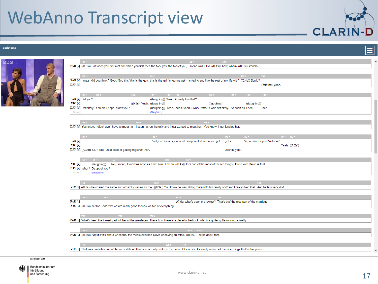#### **Beckhams**



|                                                                                    | $\mathbb{P}AR$ [v] ((0.5s)) But when you first met him when you first met, the two/yes, the two of you, I mean was it like ((0.4s)) bow, wham, ((0.5s)) smack?              |                                                                                  |                                |  |
|------------------------------------------------------------------------------------|-----------------------------------------------------------------------------------------------------------------------------------------------------------------------------|----------------------------------------------------------------------------------|--------------------------------|--|
|                                                                                    |                                                                                                                                                                             |                                                                                  |                                |  |
| $T30 + 10$                                                                         | T31                                                                                                                                                                         | T32                                                                              | TS3                            |  |
|                                                                                    | PAR [v] I mean did you think:" Good God this/ this is the guy, this is the girl I'm gonna get married to and live the rest of my life with" ((0.4s)) David?                 |                                                                                  |                                |  |
| DAV [v]                                                                            |                                                                                                                                                                             |                                                                                  | I felt that, yeah.             |  |
|                                                                                    |                                                                                                                                                                             |                                                                                  |                                |  |
| $34 +$<br>T35                                                                      | $T36 + 1$<br>$T38 + T39 +$<br>T37                                                                                                                                           | $T40$ $\rightarrow$<br>T41<br>T42                                                | T43                            |  |
| PAR [v] Did you?                                                                   | ((laughing)) Was it really like that?                                                                                                                                       |                                                                                  |                                |  |
| $VIC$ $[V]$                                                                        | $((0.3s))$ Yeah. $((laughing))$                                                                                                                                             | ((laughing))<br>((laughing))                                                     |                                |  |
| DAV [v] Definitely. You did I hope, didn't you?                                    |                                                                                                                                                                             | ((laughing)) Yeah. Yeah, yeah, I was/ I was/ it was definitely. As soon as I see | her.                           |  |
| $N$ [nn]                                                                           | ((laughter))                                                                                                                                                                |                                                                                  |                                |  |
|                                                                                    |                                                                                                                                                                             |                                                                                  |                                |  |
| T44                                                                                | $T = T45$                                                                                                                                                                   | T46                                                                              |                                |  |
|                                                                                    | DAV [v] You know, I didn't even have to meet her. I seen her on the telly and I just wanted to meet her. You know, I just fancied her.                                      |                                                                                  |                                |  |
|                                                                                    |                                                                                                                                                                             |                                                                                  |                                |  |
| $T47$ $\rightarrow$                                                                | T48 K                                                                                                                                                                       | T49<br>T50                                                                       | $T51$ > $T52$ >                |  |
| PAR [v]                                                                            | And you obviously weren't disappointed when you got to gether.                                                                                                              |                                                                                  | Ah, similar for you, Victoria? |  |
| $VIC$ $[v]$                                                                        |                                                                                                                                                                             |                                                                                  | Yeah. ((1.2s))                 |  |
| DAV [v] ((0.9s)) So, it was just a case of getting together then.                  |                                                                                                                                                                             | Definitely not.                                                                  |                                |  |
|                                                                                    |                                                                                                                                                                             |                                                                                  |                                |  |
| $T53$ $\rightarrow$ $T54$ $\rightarrow$<br>TS5                                     | T56<br>T57                                                                                                                                                                  |                                                                                  |                                |  |
| $VIC$ $[V]$<br>((laughing))                                                        | No, I mean, I knew as soon as I met him. I mean, ((0.4s)) the/ one of the most attractive things I found with David is that                                                 |                                                                                  |                                |  |
| DAV [v] What? Disappointed?                                                        |                                                                                                                                                                             |                                                                                  |                                |  |
| ((laughter))<br>$N$ [nn]                                                           |                                                                                                                                                                             |                                                                                  |                                |  |
|                                                                                    |                                                                                                                                                                             |                                                                                  |                                |  |
|                                                                                    |                                                                                                                                                                             |                                                                                  |                                |  |
| $T58 +$                                                                            | T59                                                                                                                                                                         |                                                                                  | T60                            |  |
|                                                                                    | VIC [v] ((0.3s)) he shared the same sort of family values as me. ((0.3s)) You know he was sitting there with his family and/ and I really liked that. And he is a very kind |                                                                                  |                                |  |
|                                                                                    |                                                                                                                                                                             |                                                                                  |                                |  |
| T62<br>T61 F.                                                                      | T63                                                                                                                                                                         | T64                                                                              |                                |  |
| PAR [v]                                                                            |                                                                                                                                                                             | W/ do/ what's been the lowest? That's the/ the nice part of the marriage.        |                                |  |
| VIC [v] ((0.5s)) person. And we/ we are really good friends, on top of everything. |                                                                                                                                                                             |                                                                                  |                                |  |
|                                                                                    |                                                                                                                                                                             |                                                                                  |                                |  |
| T66<br>T65 K                                                                       | T67                                                                                                                                                                         |                                                                                  |                                |  |
|                                                                                    | PAR [v] What's been the lowest part of the/ of the marriage? There is a/ there is a piece in the book, which is quite/ quite moving actually.                               |                                                                                  |                                |  |
|                                                                                    |                                                                                                                                                                             |                                                                                  |                                |  |
| $T68$ $\rightarrow$                                                                | $T69$ $\rightarrow$ $T70$ $\rightarrow$                                                                                                                                     |                                                                                  |                                |  |
|                                                                                    | PAR [v] ((0.5s)) And it's/ it's about when the/ the media accused David of having an affair. ((0.6s)) Tell us about that.                                                   |                                                                                  |                                |  |
|                                                                                    |                                                                                                                                                                             |                                                                                  |                                |  |
|                                                                                    |                                                                                                                                                                             |                                                                                  |                                |  |
| T71 E                                                                              | TT2<br>TT3                                                                                                                                                                  |                                                                                  |                                |  |
|                                                                                    | VIC [v] That was probably one of the most difficult things to actually write in the book. Obviously, it's lovely writing all the nice things that've happened               |                                                                                  |                                |  |
|                                                                                    |                                                                                                                                                                             |                                                                                  |                                |  |

GEFÖRDERT VOM

 $\bullet$ 

 $\equiv$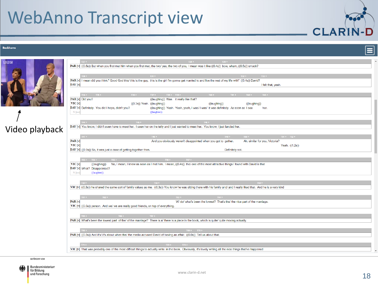#### **Beckhams**



# Video playback

| T27<br>T28<br>T29                                                                                                                                                           | $\blacktriangle$ |
|-----------------------------------------------------------------------------------------------------------------------------------------------------------------------------|------------------|
| <b>PAR</b> [v] $((0.5s))$ But when you first met him when you first met, the two/yes, the two of you, I mean was it like $((0.4s))$ bow, wham, $((0.5s))$ smack?            |                  |
|                                                                                                                                                                             |                  |
| T31<br>$T30$ $\rightarrow$<br>T32<br>TS3                                                                                                                                    |                  |
| PAR [v] I mean did you think:" Good God this/ this is the guy, this is the girl I'm gonna get married to and live the rest of my life with" ((0.4s)) David?                 |                  |
| DAV [v]                                                                                                                                                                     |                  |
| I felt that, yeah.                                                                                                                                                          |                  |
|                                                                                                                                                                             |                  |
| $134 + 1$<br>T35<br>$T36 + 1$<br>T37<br>$T38$ $\rightarrow$ $T39$ $\rightarrow$<br>T40<br>T41<br>TA2<br>T43                                                                 |                  |
| PAR [v] Did you?<br>((laughing)) Was it really like that?                                                                                                                   |                  |
| $\mathbf{VIC}$ $[\mathbf{v}]$<br>$((0.3s))$ Yeah. $((laughing))$<br>((laughing))<br>((laughing))                                                                            |                  |
| DAV [v] Definitely. You did I hope, didn't you?<br>((laughing)) Yeah. Yeah, yeah, I was/ I was/ it was definitely. As soon as I see<br>her.                                 |                  |
| $N$ [nn]<br>((laughter))                                                                                                                                                    |                  |
|                                                                                                                                                                             |                  |
| T45<br>T46 >                                                                                                                                                                |                  |
| DAV [v] You know, I didn't even have to meet her. I seen her on the telly and I just wanted to meet her. You know, I just fancied her.                                      |                  |
|                                                                                                                                                                             |                  |
|                                                                                                                                                                             |                  |
| $47+$<br>$T51$ $\rightarrow$ $T52$ $\rightarrow$<br>$T48$ $\rightarrow$<br>T49<br>T50                                                                                       |                  |
| PAR [v]<br>And you obviously weren't disappointed when you got to gether.<br>Ah, similar for you, Victoria?                                                                 |                  |
| VIC [v]<br>Yeah. ((1.2s))                                                                                                                                                   |                  |
| DAV [v] ((0.9s)) So, it was just a case of getting together then.<br>Definitely not.                                                                                        |                  |
|                                                                                                                                                                             |                  |
|                                                                                                                                                                             |                  |
|                                                                                                                                                                             |                  |
| $153$ $\rightarrow$ $154$ $\rightarrow$<br>T55<br>$T56 +$<br>TS7                                                                                                            |                  |
| VIC [v]<br>((laughing))<br>No, I mean, I knew as soon as I met him. I mean, ((0.4s)) the/ one of the most attractive things I found with David is that                      |                  |
| DAV [v] What? Disappointed?                                                                                                                                                 |                  |
| ((laughter))<br>N [nn                                                                                                                                                       |                  |
|                                                                                                                                                                             |                  |
|                                                                                                                                                                             |                  |
| T59<br>T58<br>T60                                                                                                                                                           |                  |
| VIC [v] ((0.3s)) he shared the same sort of family values as me. ((0.3s)) You know he was sitting there with his family and/ and I really liked that. And he is a very kind |                  |
|                                                                                                                                                                             |                  |
| T62<br>T64<br>$T61$ $\rightarrow$<br>T63 K                                                                                                                                  |                  |
| PAR [v]<br>W/ do/ what's been the lowest? That's the/ the nice part of the marriage.                                                                                        |                  |
| VIC [v] ((0.5s)) person. And we/ we are really good friends, on top of everything.                                                                                          |                  |
|                                                                                                                                                                             |                  |
|                                                                                                                                                                             |                  |
| $T66$ $\rightarrow$<br>T67                                                                                                                                                  |                  |
| PAR [v] What's been the lowest part of the/ of the marriage? There is a/ there is a piece in the book, which is quite/ quite moving actually.                               |                  |
|                                                                                                                                                                             |                  |
| T69 > T70 >                                                                                                                                                                 |                  |
|                                                                                                                                                                             |                  |
| PAR [v] ((0.5s)) And it's/ it's about when the/ the media accused David of having an affair. ((0.6s)) Tell us about that.                                                   |                  |
|                                                                                                                                                                             |                  |
| TT2<br>$\overline{173}$<br>TT1                                                                                                                                              |                  |
| VIC [v] That was probably one of the most difficult things to actually write in the book. Obviously, it's lovely writing all the nice things that've happened               |                  |

GEFÖRDERT VOM

 $\bullet$ 

 $\equiv$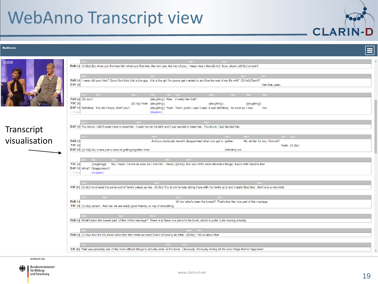#### **Beckhams**

| <b>Beckhams</b> | ≣                                                                                                                                                                                                           |
|-----------------|-------------------------------------------------------------------------------------------------------------------------------------------------------------------------------------------------------------|
|                 |                                                                                                                                                                                                             |
| <b>BBC</b>      | T29<br>$-128$ $\rightarrow$ $-128$ $\rightarrow$ $-128$<br>T27                                                                                                                                              |
|                 | PAR [v] ((0.5s)) But when you first met him when you first met, the two/yes, the two of you, I mean was it like ((0.4s)) bow, wham, ((0.5s)) smack?                                                         |
|                 |                                                                                                                                                                                                             |
|                 | $T30 + 1$<br>T31<br>T32<br>T33<br>PAR [v] I mean did you think:" Good God this/ this is the guy, this is the girl I'm gonna get married to and live the rest of my life with" ((0.4s)) David?               |
|                 | DAV [v]<br>I felt that, yeah.                                                                                                                                                                               |
|                 |                                                                                                                                                                                                             |
|                 | $T34$ $\rightarrow$ $T35$ $\rightarrow$<br>$T37$ $\rightarrow$ $T38$ $\rightarrow$ $T39$ $\rightarrow$<br>T40<br>T41<br>T42                                                                                 |
|                 | PAR [v] Did you?<br>((laughing)) Was it really like that?                                                                                                                                                   |
|                 | $\overline{\text{VC}}$ $\overline{[v]}$<br>$((0.3s))$ Yeah. $((laughing))$<br>$($ (laughing))<br>((laughing))                                                                                               |
|                 | DAV [v] Definitely. You did I hope, didn't you?<br>((laughing)) Yeah. Yeah, yeah, I was/ I was/ it was definitely. As soon as I see<br>her.                                                                 |
|                 | $N$ [nn]<br>((laughter))                                                                                                                                                                                    |
|                 |                                                                                                                                                                                                             |
|                 | T44<br>T45<br>T46                                                                                                                                                                                           |
| Transcript      | DAV [v] You know, I didn't even have to meet her. I seen her on the telly and I just wanted to meet her. You know, I just fancied her.                                                                      |
|                 | $147 +$<br>T49<br>T50<br>$T51$ $\rightarrow$ $T52$ $\rightarrow$<br>T48                                                                                                                                     |
| visualisation   | PAR [v]<br>And you obviously weren't disappointed when you got to gether.<br>Ah, similar for you, Victoria?                                                                                                 |
|                 | VIC [v]<br>Yeah. ((1.2s))                                                                                                                                                                                   |
|                 | DAV [v] ((0.9s)) So, it was just a case of getting together then.<br>Definitely not.                                                                                                                        |
|                 |                                                                                                                                                                                                             |
|                 | $153 - 154$<br>$T55 +$<br>T56 K<br>T57                                                                                                                                                                      |
|                 | No, I mean, I knew as soon as I met him. I mean, ((0.4s)) the/ one of the most attractive things I found with David is that<br>$\mathbf{VIC}$ $\mathbf{[v]}$<br>((laughing))<br>DAV [v] What? Disappointed? |
|                 | ((laughter))<br>$N$ [nn]                                                                                                                                                                                    |
|                 |                                                                                                                                                                                                             |
|                 | T58 K<br>TS9                                                                                                                                                                                                |
|                 | VIC [v] ((0.3s)) he shared the same sort of family values as me. ((0.3s)) You know he was sitting there with his family and/ and I really liked that. And he is a very kind                                 |
|                 |                                                                                                                                                                                                             |
|                 | $T61 + 1$<br>T62<br>$T63$ $\rightarrow$<br>T64                                                                                                                                                              |
|                 | PAR[v]<br>W/ do/ what's been the lowest? That's the/ the nice part of the marriage.                                                                                                                         |
|                 | VIC [v] ((0.5s)) person. And we/ we are really good friends, on top of everything.                                                                                                                          |
|                 | $T = T66$<br>T67<br>$T65$ $\rightarrow$ $\cdots$                                                                                                                                                            |
|                 | PAR [v] What's been the lowest part of the/ of the marriage? There is a/ there is a piece in the book, which is quite/ quite moving actually.                                                               |
|                 |                                                                                                                                                                                                             |
|                 | $T68 + 1$<br>T69 > T70 >                                                                                                                                                                                    |
|                 | PAR [v] ((0.5s)) And it's/ it's about when the/ the media accused David of having an affair. ((0.6s)) Tell us about that.                                                                                   |
|                 |                                                                                                                                                                                                             |
|                 | TT2<br>TT3                                                                                                                                                                                                  |
|                 | VIC [v] That was probably one of the most difficult things to actually write in the book. Obviously, it's lovely writing all the nice things that've happened                                               |

GEFÖRDERT VOM

 $\bar{\mathbf{v}}$ 

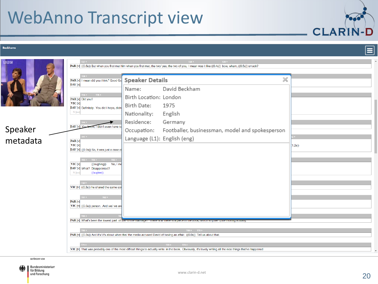#### **Beckhams**



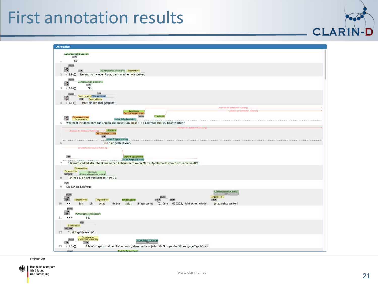#### First annotation results

|                 | Annotation                                                                                                                                                                                                                      |
|-----------------|---------------------------------------------------------------------------------------------------------------------------------------------------------------------------------------------------------------------------------|
|                 | Aufmorksamkeit fokussieren                                                                                                                                                                                                      |
|                 | 75<br>So.                                                                                                                                                                                                                       |
|                 | pause                                                                                                                                                                                                                           |
|                 | $\begin{array}{c}\n\hline\n\text{12} \\ \hline\n\text{75}\n\end{array}$<br>Aufmerksamkeit fokussieren Personaldekos<br>T3                                                                                                       |
| 2               | ((5.9s)) Nehmt mal wieder Platz, dann machen wir weiter.                                                                                                                                                                        |
|                 | pause<br>Aufmerksamkeit fokussieren                                                                                                                                                                                             |
|                 | $T_{3}$<br>T513                                                                                                                                                                                                                 |
| 3 <sup>1</sup>  | ((2.6s))<br>So.                                                                                                                                                                                                                 |
|                 | sup)<br>pause<br>Temporaldexis (Wiederholung)                                                                                                                                                                                   |
|                 | 75 <sub>2</sub><br>T7 <sup>2</sup> Personaldeix's<br>((1.1s)) Jetzt bin ich mal gespannt.                                                                                                                                       |
|                 | -(Ersetzen der delktischen Außerung)-                                                                                                                                                                                           |
|                 | -(Entetzen der doktischen Außerung)-<br>Lokaldows<br>onstrativpronomer                                                                                                                                                          |
|                 | pause<br>Lokaldows<br>Personalpronomen<br>$\frac{18}{75}$                                                                                                                                                                       |
| 51              | Initale Aufgabenstellung (1919) sowie aus aus der aus der aus der aus der aus der aus der aus der aus der Aufgabenstellung (1919)<br>Was habt ihr denn ähm für Ergebnisse erzielt um diese · · · Leitfrage hier zu beantworten? |
|                 | (Ersetzen der dektischen Äußerung)-                                                                                                                                                                                             |
|                 | (Ersetzen der delisiernen Außerung) <b>Cokaldeix's</b><br>Demonstrativpronomen                                                                                                                                                  |
|                 | T <sub>0</sub><br>Initiale Aufgabenstellung                                                                                                                                                                                     |
|                 | Die hier gestellt war.                                                                                                                                                                                                          |
|                 | -(Ersatzan dar dekönchen Auflerung)-                                                                                                                                                                                            |
|                 |                                                                                                                                                                                                                                 |
|                 | 75D<br>Explizite Bezugnahme<br>Initiale Aufgabenstellung                                                                                                                                                                        |
|                 | " Warum verliert der Steinkauz seinen Lebensraum wenn Mattis Apfelschorle vom Discounter kauft"?                                                                                                                                |
|                 | Personaldexis                                                                                                                                                                                                                   |
|                 | Personaldeixis<br>Akustsch<br>(Unterbrechung / Intervention)<br>030298                                                                                                                                                          |
| 8               | Ich hab Sie nicht verstanden Herr 75.                                                                                                                                                                                           |
|                 | 75 <sub>1</sub>                                                                                                                                                                                                                 |
| 9               | Die St/ die Leitfrage.                                                                                                                                                                                                          |
|                 | Aufmerksamkeit fokussieren<br>pause<br>sup                                                                                                                                                                                      |
|                 | Temporaldeixis<br>pause<br>$rac{T15}{75}$<br>Personaldeixis<br>T17<br>T18<br>Temporaldekis<br>Temporaldeix:s<br>T16P                                                                                                            |
| 10              | bin jetzt int/ bin jetzt äh gespannt ((1.0s)) 030202, nicht schon wieder, jetzt gehts weiter!<br>Ich<br>$\bullet$ .                                                                                                             |
|                 | pauso                                                                                                                                                                                                                           |
|                 | 75 <sub>&gt;</sub><br>Aufmorksamkeit fokussieren                                                                                                                                                                                |
| 11              | So.<br><br>sup                                                                                                                                                                                                                  |
|                 | Temporaldexis                                                                                                                                                                                                                   |
| 12 <sup>1</sup> | 030299<br>" Jetzt gehts weiter".                                                                                                                                                                                                |
|                 | Personaldeixis                                                                                                                                                                                                                  |
|                 | (Dektischer Ausdruck)<br>pause.<br>Initiale Aufgabenstellung<br>75<br>T22P<br><b>SUD</b>                                                                                                                                        |
| 13              | Ich würd gern mal der Reihe nach gehen und von jeder äh Gruppe das Wirkungsgefüge hören.<br>((1.1s))                                                                                                                            |
|                 | mien<br>Exploito Besugeshane                                                                                                                                                                                                    |

GEFÖRDERT VOM

 $\bullet$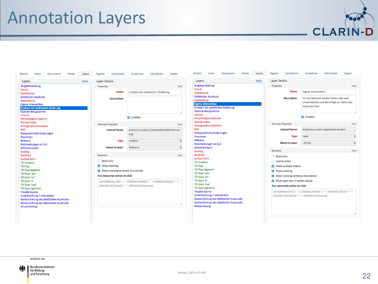#### Annotation Layers



GEFÖRDERT VOM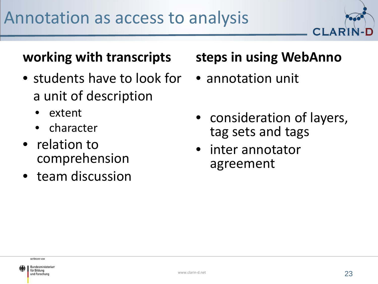

#### **working with transcripts**

- students have to look for a unit of description
	- extent
	- character
- relation to comprehension
- team discussion

#### **steps in using WebAnno**

- annotation unit
- consideration of layers, tag sets and tags
- inter annotator agreement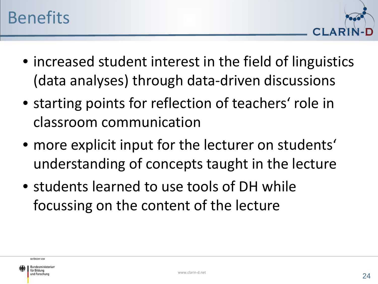

- increased student interest in the field of linguistics (data analyses) through data-driven discussions
- starting points for reflection of teachers' role in classroom communication
- more explicit input for the lecturer on students' understanding of concepts taught in the lecture
- students learned to use tools of DH while focussing on the content of the lecture

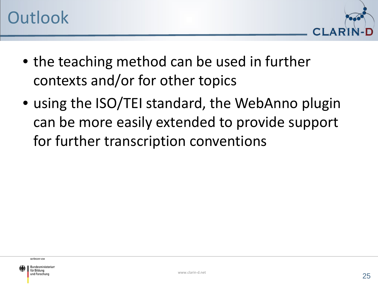

- the teaching method can be used in further contexts and/or for other topics
- using the ISO/TEI standard, the WebAnno plugin can be more easily extended to provide support for further transcription conventions